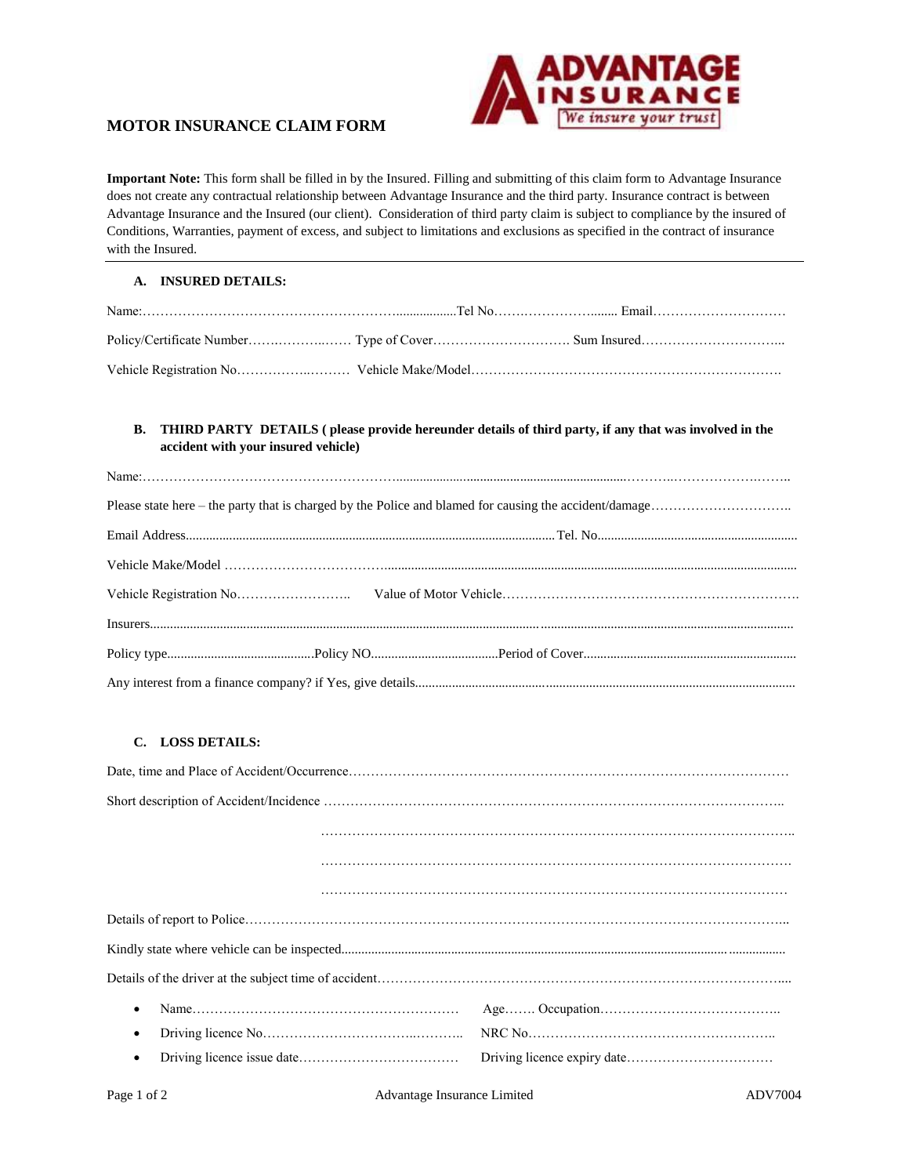

**Important Note:** This form shall be filled in by the Insured. Filling and submitting of this claim form to Advantage Insurance does not create any contractual relationship between Advantage Insurance and the third party. Insurance contract is between Advantage Insurance and the Insured (our client). Consideration of third party claim is subject to compliance by the insured of Conditions, Warranties, payment of excess, and subject to limitations and exclusions as specified in the contract of insurance with the Insured.

#### **A. INSURED DETAILS:**

#### **B. THIRD PARTY DETAILS ( please provide hereunder details of third party, if any that was involved in the accident with your insured vehicle)**

# **C. LOSS DETAILS:**

| $\bullet$ |  |  |  |
|-----------|--|--|--|
| ٠         |  |  |  |
| $\bullet$ |  |  |  |